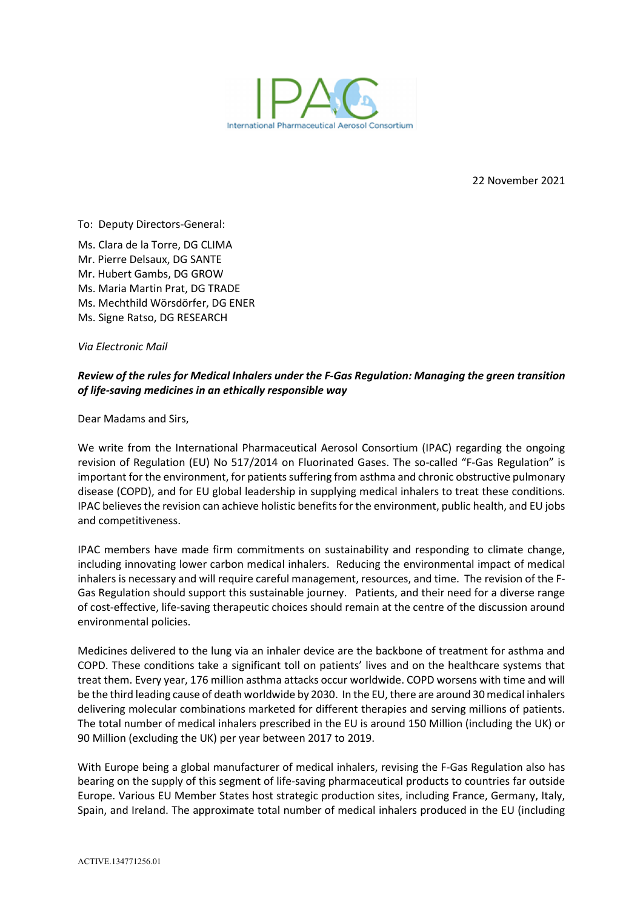

22 November 2021

To: Deputy Directors-General:

Ms. Clara de la Torre, DG CLIMA Mr. Pierre Delsaux, DG SANTE Mr. Hubert Gambs, DG GROW Ms. Maria Martin Prat, DG TRADE Ms. Mechthild Wörsdörfer, DG ENER Ms. Signe Ratso, DG RESEARCH

*Via Electronic Mail*

## *Review of the rules for Medical Inhalers under the F-Gas Regulation: Managing the green transition of life-saving medicines in an ethically responsible way*

Dear Madams and Sirs,

We write from the International Pharmaceutical Aerosol Consortium (IPAC) regarding the ongoing revision of Regulation (EU) No 517/2014 on Fluorinated Gases. The so-called "F-Gas Regulation" is important for the environment, for patients suffering from asthma and chronic obstructive pulmonary disease (COPD), and for EU global leadership in supplying medical inhalers to treat these conditions. IPAC believes the revision can achieve holistic benefits for the environment, public health, and EU jobs and competitiveness.

IPAC members have made firm commitments on sustainability and responding to climate change, including innovating lower carbon medical inhalers. Reducing the environmental impact of medical inhalers is necessary and will require careful management, resources, and time. The revision of the F-Gas Regulation should support this sustainable journey. Patients, and their need for a diverse range of cost-effective, life-saving therapeutic choices should remain at the centre of the discussion around environmental policies.

Medicines delivered to the lung via an inhaler device are the backbone of treatment for asthma and COPD. These conditions take a significant toll on patients' lives and on the healthcare systems that treat them. Every year, 176 million asthma attacks occur worldwide. COPD worsens with time and will be the third leading cause of death worldwide by 2030. In the EU, there are around 30 medical inhalers delivering molecular combinations marketed for different therapies and serving millions of patients. The total number of medical inhalers prescribed in the EU is around 150 Million (including the UK) or 90 Million (excluding the UK) per year between 2017 to 2019.

With Europe being a global manufacturer of medical inhalers, revising the F-Gas Regulation also has bearing on the supply of this segment of life-saving pharmaceutical products to countries far outside Europe. Various EU Member States host strategic production sites, including France, Germany, Italy, Spain, and Ireland. The approximate total number of medical inhalers produced in the EU (including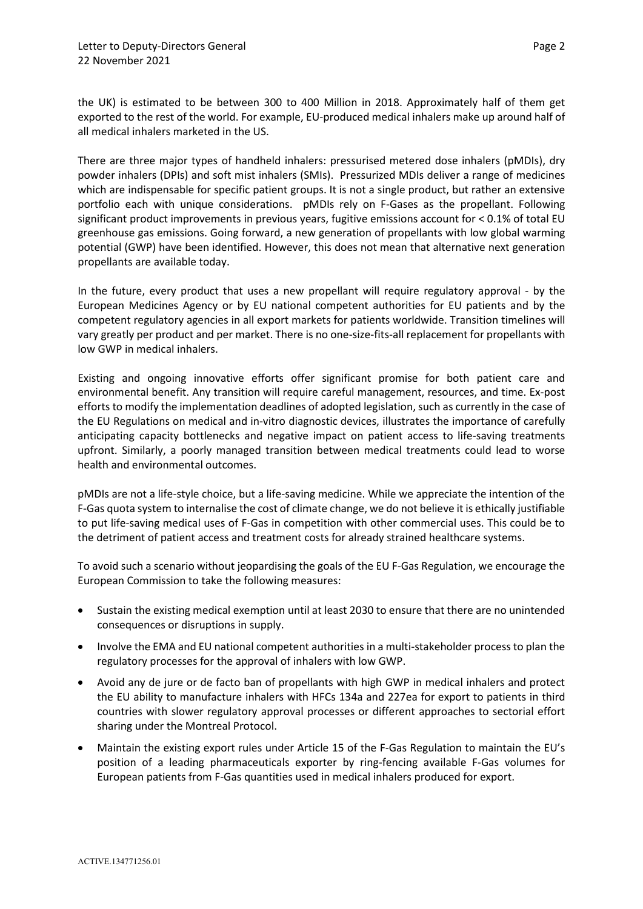the UK) is estimated to be between 300 to 400 Million in 2018. Approximately half of them get exported to the rest of the world. For example, EU-produced medical inhalers make up around half of all medical inhalers marketed in the US.

There are three major types of handheld inhalers: pressurised metered dose inhalers (pMDIs), dry powder inhalers (DPIs) and soft mist inhalers (SMIs). Pressurized MDIs deliver a range of medicines which are indispensable for specific patient groups. It is not a single product, but rather an extensive portfolio each with unique considerations. pMDIs rely on F-Gases as the propellant. Following significant product improvements in previous years, fugitive emissions account for < 0.1% of total EU greenhouse gas emissions. Going forward, a new generation of propellants with low global warming potential (GWP) have been identified. However, this does not mean that alternative next generation propellants are available today.

In the future, every product that uses a new propellant will require regulatory approval - by the European Medicines Agency or by EU national competent authorities for EU patients and by the competent regulatory agencies in all export markets for patients worldwide. Transition timelines will vary greatly per product and per market. There is no one-size-fits-all replacement for propellants with low GWP in medical inhalers.

Existing and ongoing innovative efforts offer significant promise for both patient care and environmental benefit. Any transition will require careful management, resources, and time. Ex-post efforts to modify the implementation deadlines of adopted legislation, such as currently in the case of the EU Regulations on medical and in-vitro diagnostic devices, illustrates the importance of carefully anticipating capacity bottlenecks and negative impact on patient access to life-saving treatments upfront. Similarly, a poorly managed transition between medical treatments could lead to worse health and environmental outcomes.

pMDIs are not a life-style choice, but a life-saving medicine. While we appreciate the intention of the F-Gas quota system to internalise the cost of climate change, we do not believe it is ethically justifiable to put life-saving medical uses of F-Gas in competition with other commercial uses. This could be to the detriment of patient access and treatment costs for already strained healthcare systems.

To avoid such a scenario without jeopardising the goals of the EU F-Gas Regulation, we encourage the European Commission to take the following measures:

- Sustain the existing medical exemption until at least 2030 to ensure that there are no unintended consequences or disruptions in supply.
- Involve the EMA and EU national competent authorities in a multi-stakeholder process to plan the regulatory processes for the approval of inhalers with low GWP.
- Avoid any de jure or de facto ban of propellants with high GWP in medical inhalers and protect the EU ability to manufacture inhalers with HFCs 134a and 227ea for export to patients in third countries with slower regulatory approval processes or different approaches to sectorial effort sharing under the Montreal Protocol.
- Maintain the existing export rules under Article 15 of the F-Gas Regulation to maintain the EU's position of a leading pharmaceuticals exporter by ring-fencing available F-Gas volumes for European patients from F-Gas quantities used in medical inhalers produced for export.